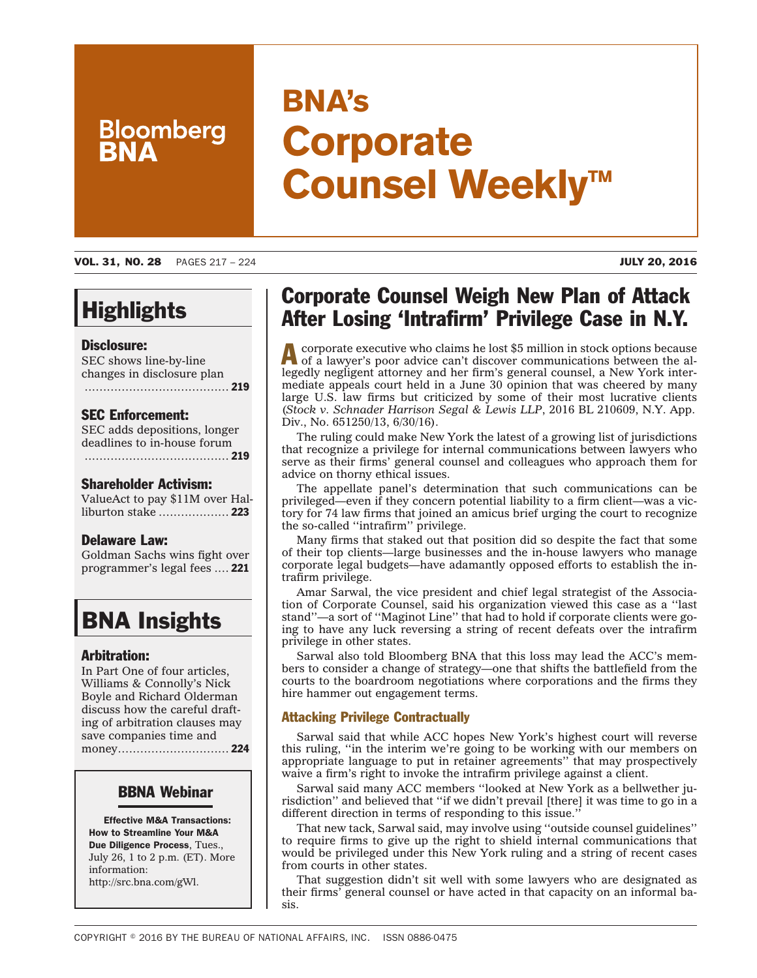# **Bloomberg**

## **BNA's Corporate Counsel Weekly™**

VOL. 31, NO. 28 PAGES 217 – 224 JULY 20, 2016

## **Highlights**

#### Disclosure:

SEC shows line-by-line changes in disclosure plan ....................................... 219

#### SEC Enforcement:

SEC adds depositions, longer deadlines to in-house forum ....................................... 219

#### Shareholder Activism:

ValueAct to pay \$11M over Halliburton stake ................... 223

#### Delaware Law:

Goldman Sachs wins fight over programmer's legal fees .... 221

## BNA Insights

#### Arbitration:

In Part One of four articles, Williams & Connolly's Nick Boyle and Richard Olderman discuss how the careful drafting of arbitration clauses may save companies time and money.............................. 224

#### BBNA Webinar

Effective M&A Transactions: How to Streamline Your M&A Due Diligence Process, Tues., July 26, 1 to 2 p.m. (ET). More information: http://src.bna.com/gWl.

## Corporate Counsel Weigh New Plan of Attack After Losing 'Intrafirm' Privilege Case in N.Y.

Acorporate executive who claims he lost \$5 million in stock options because of a lawyer's poor advice can't discover communications between the allegedly negligent attorney and her firm's general counsel, a New York intermediate appeals court held in a June 30 opinion that was cheered by many large U.S. law firms but criticized by some of their most lucrative clients (*Stock v. Schnader Harrison Segal & Lewis LLP*, 2016 BL 210609, N.Y. App. Div., No. 651250/13, 6/30/16).

The ruling could make New York the latest of a growing list of jurisdictions that recognize a privilege for internal communications between lawyers who serve as their firms' general counsel and colleagues who approach them for advice on thorny ethical issues.

The appellate panel's determination that such communications can be privileged—even if they concern potential liability to a firm client—was a victory for 74 law firms that joined an amicus brief urging the court to recognize the so-called ''intrafirm'' privilege.

Many firms that staked out that position did so despite the fact that some of their top clients—large businesses and the in-house lawyers who manage corporate legal budgets—have adamantly opposed efforts to establish the intrafirm privilege.

Amar Sarwal, the vice president and chief legal strategist of the Association of Corporate Counsel, said his organization viewed this case as a ''last stand''—a sort of ''Maginot Line'' that had to hold if corporate clients were going to have any luck reversing a string of recent defeats over the intrafirm privilege in other states.

Sarwal also told Bloomberg BNA that this loss may lead the ACC's members to consider a change of strategy—one that shifts the battlefield from the courts to the boardroom negotiations where corporations and the firms they hire hammer out engagement terms.

#### Attacking Privilege Contractually

Sarwal said that while ACC hopes New York's highest court will reverse this ruling, ''in the interim we're going to be working with our members on appropriate language to put in retainer agreements'' that may prospectively waive a firm's right to invoke the intrafirm privilege against a client.

Sarwal said many ACC members ''looked at New York as a bellwether jurisdiction'' and believed that ''if we didn't prevail [there] it was time to go in a different direction in terms of responding to this issue.''

That new tack, Sarwal said, may involve using ''outside counsel guidelines'' to require firms to give up the right to shield internal communications that would be privileged under this New York ruling and a string of recent cases from courts in other states.

That suggestion didn't sit well with some lawyers who are designated as their firms' general counsel or have acted in that capacity on an informal basis.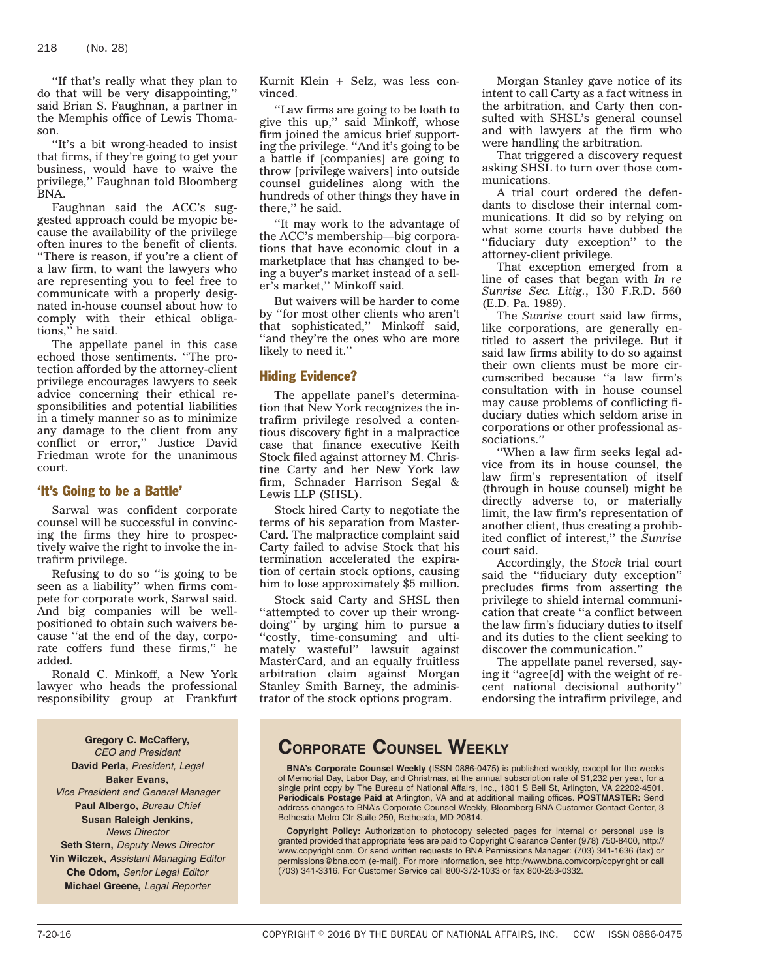''If that's really what they plan to do that will be very disappointing,'' said Brian S. Faughnan, a partner in the Memphis office of Lewis Thomason.

''It's a bit wrong-headed to insist that firms, if they're going to get your business, would have to waive the privilege,'' Faughnan told Bloomberg BNA.

Faughnan said the ACC's suggested approach could be myopic because the availability of the privilege often inures to the benefit of clients. ''There is reason, if you're a client of a law firm, to want the lawyers who are representing you to feel free to communicate with a properly designated in-house counsel about how to comply with their ethical obligations,'' he said.

The appellate panel in this case echoed those sentiments. ''The protection afforded by the attorney-client privilege encourages lawyers to seek advice concerning their ethical responsibilities and potential liabilities in a timely manner so as to minimize any damage to the client from any conflict or error,'' Justice David Friedman wrote for the unanimous court.

#### 'It's Going to be a Battle'

Sarwal was confident corporate counsel will be successful in convincing the firms they hire to prospectively waive the right to invoke the intrafirm privilege.

Refusing to do so ''is going to be seen as a liability'' when firms compete for corporate work, Sarwal said. And big companies will be wellpositioned to obtain such waivers because ''at the end of the day, corporate coffers fund these firms,'' he added.

Ronald C. Minkoff, a New York lawyer who heads the professional responsibility group at Frankfurt

**Gregory C. McCaffery,** *CEO and President* **David Perla,** *President, Legal* **Baker Evans,** *Vice President and General Manager* **Paul Albergo,** *Bureau Chief* **Susan Raleigh Jenkins,** *News Director* **Seth Stern,** *Deputy News Director*

**Yin Wilczek,** *Assistant Managing Editor* **Che Odom,** *Senior Legal Editor* **Michael Greene,** *Legal Reporter*

Kurnit Klein + Selz, was less convinced.

''Law firms are going to be loath to give this up,'' said Minkoff, whose firm joined the amicus brief supporting the privilege. ''And it's going to be a battle if [companies] are going to throw [privilege waivers] into outside counsel guidelines along with the hundreds of other things they have in there,'' he said.

''It may work to the advantage of the ACC's membership—big corporations that have economic clout in a marketplace that has changed to being a buyer's market instead of a seller's market,'' Minkoff said.

But waivers will be harder to come by ''for most other clients who aren't that sophisticated,'' Minkoff said, ''and they're the ones who are more likely to need it.''

#### Hiding Evidence?

The appellate panel's determination that New York recognizes the intrafirm privilege resolved a contentious discovery fight in a malpractice case that finance executive Keith Stock filed against attorney M. Christine Carty and her New York law firm, Schnader Harrison Segal & Lewis LLP (SHSL).

Stock hired Carty to negotiate the terms of his separation from Master-Card. The malpractice complaint said Carty failed to advise Stock that his termination accelerated the expiration of certain stock options, causing him to lose approximately \$5 million.

Stock said Carty and SHSL then "attempted to cover up their wrongdoing'' by urging him to pursue a ''costly, time-consuming and ultimately wasteful'' lawsuit against MasterCard, and an equally fruitless arbitration claim against Morgan Stanley Smith Barney, the administrator of the stock options program.

Morgan Stanley gave notice of its intent to call Carty as a fact witness in the arbitration, and Carty then consulted with SHSL's general counsel and with lawyers at the firm who were handling the arbitration.

That triggered a discovery request asking SHSL to turn over those communications.

A trial court ordered the defendants to disclose their internal communications. It did so by relying on what some courts have dubbed the ''fiduciary duty exception'' to the attorney-client privilege.

That exception emerged from a line of cases that began with *In re Sunrise Sec. Litig.*, 130 F.R.D. 560 (E.D. Pa. 1989).

The *Sunrise* court said law firms, like corporations, are generally entitled to assert the privilege. But it said law firms ability to do so against their own clients must be more circumscribed because ''a law firm's consultation with in house counsel may cause problems of conflicting fiduciary duties which seldom arise in corporations or other professional associations.''

''When a law firm seeks legal advice from its in house counsel, the law firm's representation of itself (through in house counsel) might be directly adverse to, or materially limit, the law firm's representation of another client, thus creating a prohibited conflict of interest,'' the *Sunrise* court said.

Accordingly, the *Stock* trial court said the ''fiduciary duty exception'' precludes firms from asserting the privilege to shield internal communication that create ''a conflict between the law firm's fiduciary duties to itself and its duties to the client seeking to discover the communication.''

The appellate panel reversed, saying it ''agree[d] with the weight of recent national decisional authority'' endorsing the intrafirm privilege, and

### **CORPORATE COUNSEL WEEKLY**

**BNA's Corporate Counsel Weekly** (ISSN 0886-0475) is published weekly, except for the weeks of Memorial Day, Labor Day, and Christmas, at the annual subscription rate of \$1,232 per year, for a single print copy by The Bureau of National Affairs, Inc., 1801 S Bell St, Arlington, VA 22202-4501. **Periodicals Postage Paid at** Arlington, VA and at additional mailing offices. **POSTMASTER:** Send address changes to BNA's Corporate Counsel Weekly, Bloomberg BNA Customer Contact Center, 3 Bethesda Metro Ctr Suite 250, Bethesda, MD 20814.

**Copyright Policy:** Authorization to photocopy selected pages for internal or personal use is granted provided that appropriate fees are paid to Copyright Clearance Center (978) 750-8400, http:// www.copyright.com. Or send written requests to BNA Permissions Manager: (703) 341-1636 (fax) or permissions@bna.com (e-mail). For more information, see http://www.bna.com/corp/copyright or call (703) 341-3316. For Customer Service call 800-372-1033 or fax 800-253-0332.